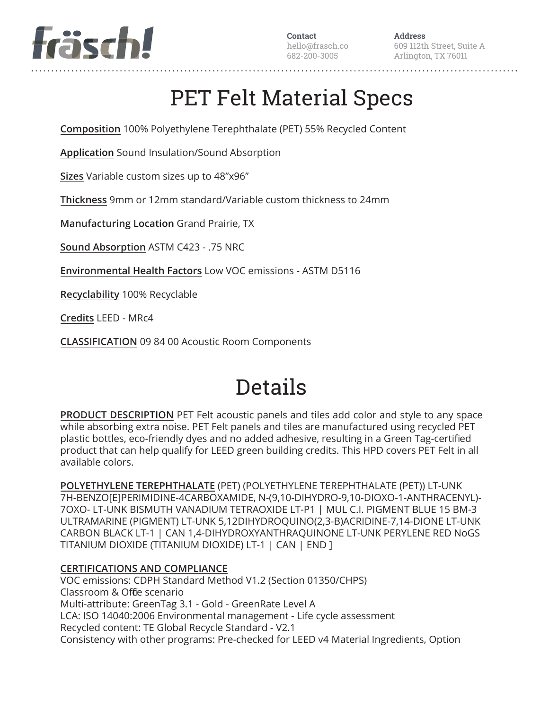

**Address** 609 112th Street, Suite A Arlington, TX 76011

# PET Felt Material Specs

**Composition** 100% Polyethylene Terephthalate (PET) 55% Recycled Content

**Application** Sound Insulation/Sound Absorption

**Sizes** Variable custom sizes up to 48"x96"

**Thickness** 9mm or 12mm standard/Variable custom thickness to 24mm

**Manufacturing Location** Grand Prairie, TX

**Sound Absorption** ASTM C423 - .75 NRC

**Environmental Health Factors** Low VOC emissions - ASTM D5116

**Recyclability** 100% Recyclable

**Credits** LEED - MRc4

**CLASSIFICATION** 09 84 00 Acoustic Room Components

# Details

**PRODUCT DESCRIPTION** PET Felt acoustic panels and tiles add color and style to any space while absorbing extra noise. PET Felt panels and tiles are manufactured using recycled PET plastic bottles, eco-friendly dyes and no added adhesive, resulting in a Green Tag-certified product that can help qualify for LEED green building credits. This HPD covers PET Felt in all available colors.

**POLYETHYLENE TEREPHTHALATE** (PET) (POLYETHYLENE TEREPHTHALATE (PET)) LT-UNK 7H-BENZO[E]PERIMIDINE-4CARBOXAMIDE, N-(9,10-DIHYDRO-9,10-DIOXO-1-ANTHRACENYL)- 7OXO- LT-UNK BISMUTH VANADIUM TETRAOXIDE LT-P1 | MUL C.I. PIGMENT BLUE 15 BM-3 ULTRAMARINE (PIGMENT) LT-UNK 5,12DIHYDROQUINO(2,3-B)ACRIDINE-7,14-DIONE LT-UNK CARBON BLACK LT-1 | CAN 1,4-DIHYDROXYANTHRAQUINONE LT-UNK PERYLENE RED NoGS TITANIUM DIOXIDE (TITANIUM DIOXIDE) LT-1 | CAN | END ]

## **CERTIFICATIONS AND COMPLIANCE**

VOC emissions: CDPH Standard Method V1.2 (Section 01350/CHPS) Classroom & Offie scenario Multi-attribute: GreenTag 3.1 - Gold - GreenRate Level A LCA: ISO 14040:2006 Environmental management - Life cycle assessment Recycled content: TE Global Recycle Standard - V2.1 Consistency with other programs: Pre-checked for LEED v4 Material Ingredients, Option